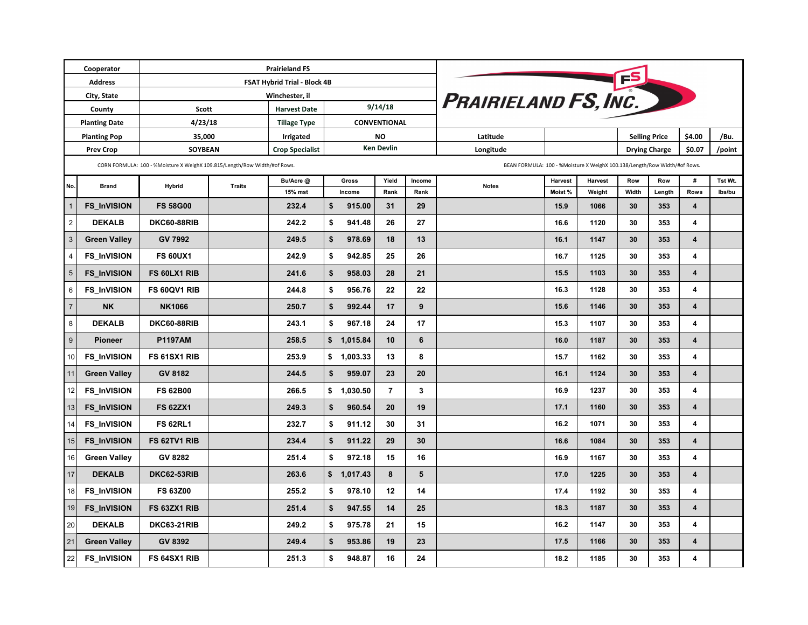| Cooperator           |                     |                                                                           | <b>Prairieland FS</b>               |                        |                         |              |                |                 |                                                                           |                |                |                      |        |                         |         |  |
|----------------------|---------------------|---------------------------------------------------------------------------|-------------------------------------|------------------------|-------------------------|--------------|----------------|-----------------|---------------------------------------------------------------------------|----------------|----------------|----------------------|--------|-------------------------|---------|--|
| <b>Address</b>       |                     |                                                                           | <b>FSAT Hybrid Trial - Block 4B</b> |                        |                         |              | <b>FS</b>      |                 |                                                                           |                |                |                      |        |                         |         |  |
| City, State          |                     |                                                                           | Winchester, il                      | PRAIRIELAND FS, INC.   |                         |              |                |                 |                                                                           |                |                |                      |        |                         |         |  |
| County               |                     | <b>Scott</b>                                                              |                                     | <b>Harvest Date</b>    | 9/14/18                 |              |                |                 |                                                                           |                |                |                      |        |                         |         |  |
| <b>Planting Date</b> |                     | 4/23/18                                                                   |                                     | <b>Tillage Type</b>    | <b>CONVENTIONAL</b>     |              |                |                 |                                                                           |                |                |                      |        |                         |         |  |
| <b>Planting Pop</b>  |                     | 35,000                                                                    |                                     | <b>Irrigated</b>       | <b>NO</b>               |              |                |                 | Latitude                                                                  |                |                | <b>Selling Price</b> |        | \$4.00                  | /Bu.    |  |
| <b>Prev Crop</b>     |                     | <b>SOYBEAN</b>                                                            |                                     | <b>Crop Specialist</b> | <b>Ken Devlin</b>       |              |                |                 | Longitude                                                                 |                |                | <b>Drying Charge</b> |        | \$0.07                  | /point  |  |
|                      |                     | CORN FORMULA: 100 - %Moisture X WeighX 109.815/Length/Row Width/#of Rows. |                                     |                        |                         |              |                |                 | BEAN FORMULA: 100 - %Moisture X WeighX 100.138/Length/Row Width/#of Rows. |                |                |                      |        |                         |         |  |
| No.                  | <b>Brand</b>        | <b>Hybrid</b>                                                             | <b>Traits</b>                       | Bu/Acre @              |                         | <b>Gross</b> | Yield          | Income          | <b>Notes</b>                                                              | <b>Harvest</b> | <b>Harvest</b> | <b>Row</b>           | Row    | #                       | Tst Wt. |  |
|                      |                     |                                                                           |                                     | 15% mst                |                         | Income       | Rank           | Rank            |                                                                           | Moist %        | Weight         | Width                | Length | <b>Rows</b>             | Ibs/bu  |  |
| $\overline{1}$       | <b>FS_InVISION</b>  | <b>FS 58G00</b>                                                           |                                     | 232.4                  | \$                      | 915.00       | 31             | 29              |                                                                           | 15.9           | 1066           | 30                   | 353    | 4                       |         |  |
| $\overline{2}$       | <b>DEKALB</b>       | <b>DKC60-88RIB</b>                                                        |                                     | 242.2                  | \$                      | 941.48       | 26             | 27              |                                                                           | 16.6           | 1120           | 30                   | 353    | 4                       |         |  |
| 3 <sup>2</sup>       | <b>Green Valley</b> | <b>GV 7992</b>                                                            |                                     | 249.5                  | \$                      | 978.69       | 18             | 13              |                                                                           | 16.1           | 1147           | 30                   | 353    | $\boldsymbol{4}$        |         |  |
| $\overline{4}$       | <b>FS_InVISION</b>  | <b>FS 60UX1</b>                                                           |                                     | 242.9                  | \$                      | 942.85       | 25             | 26              |                                                                           | 16.7           | 1125           | 30                   | 353    | 4                       |         |  |
| 5 <sup>5</sup>       | <b>FS_InVISION</b>  | FS 60LX1 RIB                                                              |                                     | 241.6                  | \$                      | 958.03       | 28             | 21              |                                                                           | 15.5           | 1103           | 30                   | 353    | 4                       |         |  |
| $6\overline{6}$      | <b>FS_InVISION</b>  | FS 60QV1 RIB                                                              |                                     | 244.8                  | \$                      | 956.76       | 22             | 22              |                                                                           | 16.3           | 1128           | 30                   | 353    | 4                       |         |  |
| $\overline{7}$       | <b>NK</b>           | <b>NK1066</b>                                                             |                                     | 250.7                  | \$                      | 992.44       | 17             | 9               |                                                                           | 15.6           | 1146           | 30                   | 353    | $\boldsymbol{4}$        |         |  |
| 8                    | <b>DEKALB</b>       | <b>DKC60-88RIB</b>                                                        |                                     | 243.1                  | \$                      | 967.18       | 24             | 17              |                                                                           | 15.3           | 1107           | 30                   | 353    | 4                       |         |  |
| 9 <sup>1</sup>       | <b>Pioneer</b>      | <b>P1197AM</b>                                                            |                                     | 258.5                  | $\sqrt[6]{\frac{1}{2}}$ | 1,015.84     | 10             | 6               |                                                                           | 16.0           | 1187           | 30                   | 353    | $\boldsymbol{4}$        |         |  |
| 10                   | <b>FS_InVISION</b>  | FS 61SX1 RIB                                                              |                                     | 253.9                  | \$                      | 1,003.33     | 13             | 8               |                                                                           | 15.7           | 1162           | 30                   | 353    | $\boldsymbol{4}$        |         |  |
| 11                   | <b>Green Valley</b> | <b>GV 8182</b>                                                            |                                     | 244.5                  | \$                      | 959.07       | 23             | 20              |                                                                           | 16.1           | 1124           | 30                   | 353    | $\overline{\mathbf{4}}$ |         |  |
| 12                   | <b>FS_InVISION</b>  | <b>FS 62B00</b>                                                           |                                     | 266.5                  | \$                      | 1,030.50     | $\overline{7}$ | $\mathbf{3}$    |                                                                           | 16.9           | 1237           | 30                   | 353    | $\boldsymbol{4}$        |         |  |
| 13                   | <b>FS_InVISION</b>  | <b>FS 62ZX1</b>                                                           |                                     | 249.3                  | \$                      | 960.54       | 20             | 19              |                                                                           | 17.1           | 1160           | 30                   | 353    | $\boldsymbol{4}$        |         |  |
| 14                   | <b>FS_InVISION</b>  | <b>FS 62RL1</b>                                                           |                                     | 232.7                  | \$                      | 911.12       | 30             | 31              |                                                                           | 16.2           | 1071           | 30                   | 353    | 4                       |         |  |
| 15                   | <b>FS_InVISION</b>  | FS 62TV1 RIB                                                              |                                     | 234.4                  | \$                      | 911.22       | 29             | 30 <sub>o</sub> |                                                                           | 16.6           | 1084           | 30                   | 353    | $\boldsymbol{4}$        |         |  |
| 16                   | <b>Green Valley</b> | <b>GV 8282</b>                                                            |                                     | 251.4                  | \$                      | 972.18       | 15             | 16              |                                                                           | 16.9           | 1167           | 30                   | 353    | $\boldsymbol{4}$        |         |  |
| 17                   | <b>DEKALB</b>       | <b>DKC62-53RIB</b>                                                        |                                     | 263.6                  |                         | \$ 1,017.43  | 8              | $5\phantom{.0}$ |                                                                           | 17.0           | 1225           | 30                   | 353    | $\overline{\mathbf{4}}$ |         |  |
| 18                   | <b>FS_InVISION</b>  | <b>FS 63Z00</b>                                                           |                                     | 255.2                  | \$                      | 978.10       | 12             | 14              |                                                                           | 17.4           | 1192           | 30 <sup>°</sup>      | 353    | $\boldsymbol{4}$        |         |  |
| 19                   | <b>FS_InVISION</b>  | FS 63ZX1 RIB                                                              |                                     | 251.4                  | \$                      | 947.55       | 14             | 25              |                                                                           | 18.3           | 1187           | 30                   | 353    | $\boldsymbol{4}$        |         |  |
| 20                   | <b>DEKALB</b>       | <b>DKC63-21RIB</b>                                                        |                                     | 249.2                  | \$                      | 975.78       | 21             | 15              |                                                                           | 16.2           | 1147           | 30                   | 353    | $\boldsymbol{4}$        |         |  |
| 21                   | <b>Green Valley</b> | <b>GV 8392</b>                                                            |                                     | 249.4                  | \$                      | 953.86       | 19             | 23              |                                                                           | 17.5           | 1166           | 30                   | 353    | $\boldsymbol{4}$        |         |  |
| 22                   | <b>FS_InVISION</b>  | FS 64SX1 RIB                                                              |                                     | 251.3                  | \$                      | 948.87       | 16             | 24              |                                                                           | 18.2           | 1185           | 30                   | 353    | 4                       |         |  |